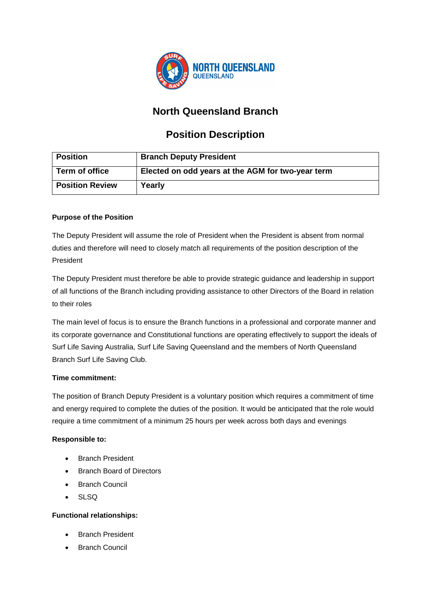

## **North Queensland Branch**

# **Position Description**

| <b>Position</b>        | <b>Branch Deputy President</b>                    |
|------------------------|---------------------------------------------------|
| Term of office         | Elected on odd years at the AGM for two-year term |
| <b>Position Review</b> | Yearly                                            |

## **Purpose of the Position**

The Deputy President will assume the role of President when the President is absent from normal duties and therefore will need to closely match all requirements of the position description of the President

The Deputy President must therefore be able to provide strategic guidance and leadership in support of all functions of the Branch including providing assistance to other Directors of the Board in relation to their roles

The main level of focus is to ensure the Branch functions in a professional and corporate manner and its corporate governance and Constitutional functions are operating effectively to support the ideals of Surf Life Saving Australia, Surf Life Saving Queensland and the members of North Queensland Branch Surf Life Saving Club.

## **Time commitment:**

The position of Branch Deputy President is a voluntary position which requires a commitment of time and energy required to complete the duties of the position. It would be anticipated that the role would require a time commitment of a minimum 25 hours per week across both days and evenings

## **Responsible to:**

- Branch President
- Branch Board of Directors
- Branch Council
- SLSQ

## **Functional relationships:**

- Branch President
- **Branch Council**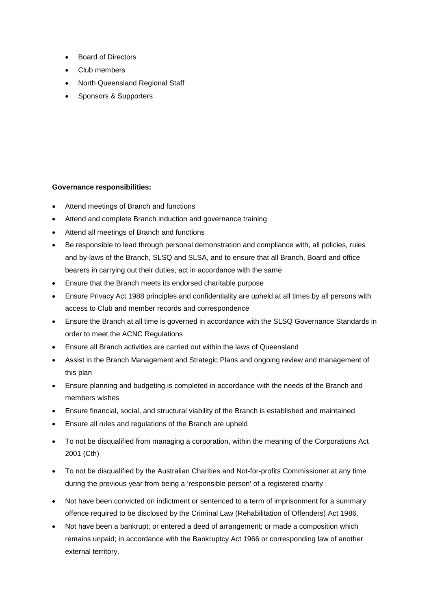- Board of Directors
- Club members
- North Queensland Regional Staff
- Sponsors & Supporters

#### **Governance responsibilities:**

- Attend meetings of Branch and functions
- Attend and complete Branch induction and governance training
- Attend all meetings of Branch and functions
- Be responsible to lead through personal demonstration and compliance with, all policies, rules and by-laws of the Branch, SLSQ and SLSA, and to ensure that all Branch, Board and office bearers in carrying out their duties, act in accordance with the same
- Ensure that the Branch meets its endorsed charitable purpose
- Ensure Privacy Act 1988 principles and confidentiality are upheld at all times by all persons with access to Club and member records and correspondence
- Ensure the Branch at all time is governed in accordance with the SLSQ Governance Standards in order to meet the ACNC Regulations
- Ensure all Branch activities are carried out within the laws of Queensland
- Assist in the Branch Management and Strategic Plans and ongoing review and management of this plan
- Ensure planning and budgeting is completed in accordance with the needs of the Branch and members wishes
- Ensure financial, social, and structural viability of the Branch is established and maintained
- Ensure all rules and regulations of the Branch are upheld
- To not be disqualified from managing a corporation, within the meaning of the Corporations Act 2001 (Cth)
- To not be disqualified by the Australian Charities and Not-for-profits Commissioner at any time during the previous year from being a 'responsible person' of a registered charity
- Not have been convicted on indictment or sentenced to a term of imprisonment for a summary offence required to be disclosed by the Criminal Law (Rehabilitation of Offenders) Act 1986.
- Not have been a bankrupt; or entered a deed of arrangement; or made a composition which remains unpaid; in accordance with the Bankruptcy Act 1966 or corresponding law of another external territory.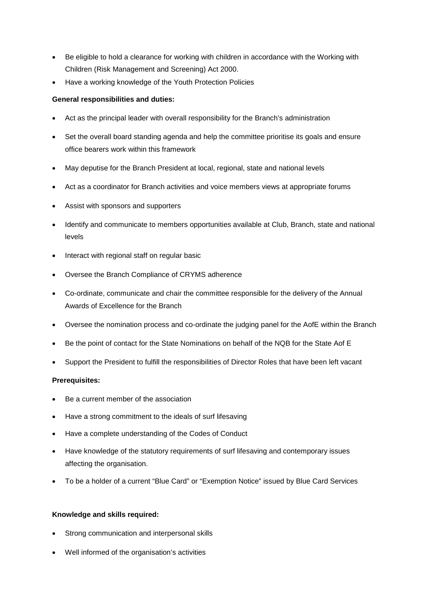- Be eligible to hold a clearance for working with children in accordance with the Working with Children (Risk Management and Screening) Act 2000.
- Have a working knowledge of the Youth Protection Policies

### **General responsibilities and duties:**

- Act as the principal leader with overall responsibility for the Branch's administration
- Set the overall board standing agenda and help the committee prioritise its goals and ensure office bearers work within this framework
- May deputise for the Branch President at local, regional, state and national levels
- Act as a coordinator for Branch activities and voice members views at appropriate forums
- Assist with sponsors and supporters
- Identify and communicate to members opportunities available at Club, Branch, state and national levels
- Interact with regional staff on regular basic
- Oversee the Branch Compliance of CRYMS adherence
- Co-ordinate, communicate and chair the committee responsible for the delivery of the Annual Awards of Excellence for the Branch
- Oversee the nomination process and co-ordinate the judging panel for the AofE within the Branch
- Be the point of contact for the State Nominations on behalf of the NQB for the State Aof E
- Support the President to fulfill the responsibilities of Director Roles that have been left vacant

#### **Prerequisites:**

- Be a current member of the association
- Have a strong commitment to the ideals of surf lifesaving
- Have a complete understanding of the Codes of Conduct
- Have knowledge of the statutory requirements of surf lifesaving and contemporary issues affecting the organisation.
- To be a holder of a current "Blue Card" or "Exemption Notice" issued by Blue Card Services

#### **Knowledge and skills required:**

- Strong communication and interpersonal skills
- Well informed of the organisation's activities